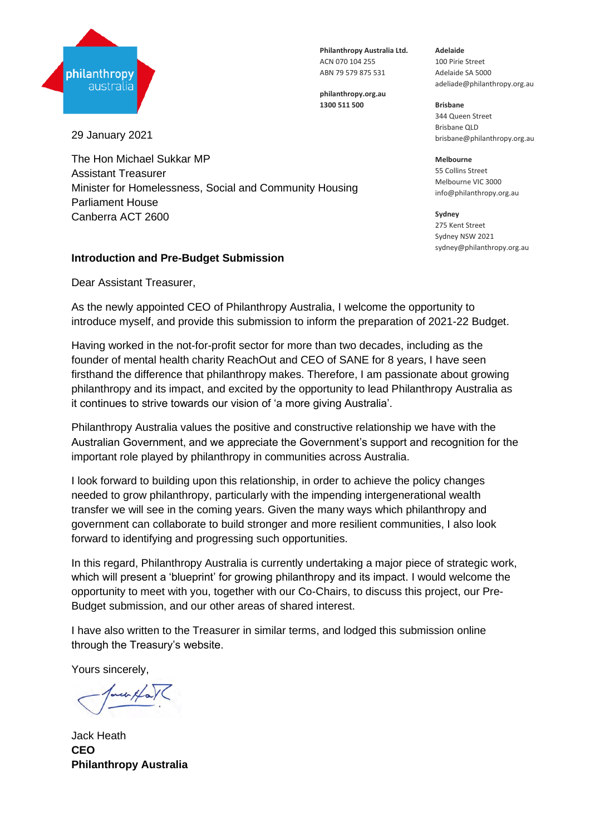

**Philanthropy Australia Ltd.** ACN 070 104 255 ABN 79 579 875 531

**philanthropy.org.au 1300 511 500**

29 January 2021

The Hon Michael Sukkar MP Assistant Treasurer Minister for Homelessness, Social and Community Housing Parliament House Canberra ACT 2600

### **Introduction and Pre-Budget Submission**

Dear Assistant Treasurer,

As the newly appointed CEO of Philanthropy Australia, I welcome the opportunity to introduce myself, and provide this submission to inform the preparation of 2021-22 Budget.

Having worked in the not-for-profit sector for more than two decades, including as the founder of mental health charity ReachOut and CEO of SANE for 8 years, I have seen firsthand the difference that philanthropy makes. Therefore, I am passionate about growing philanthropy and its impact, and excited by the opportunity to lead Philanthropy Australia as it continues to strive towards our vision of 'a more giving Australia'.

Philanthropy Australia values the positive and constructive relationship we have with the Australian Government, and we appreciate the Government's support and recognition for the important role played by philanthropy in communities across Australia.

I look forward to building upon this relationship, in order to achieve the policy changes needed to grow philanthropy, particularly with the impending intergenerational wealth transfer we will see in the coming years. Given the many ways which philanthropy and government can collaborate to build stronger and more resilient communities, I also look forward to identifying and progressing such opportunities.

In this regard, Philanthropy Australia is currently undertaking a major piece of strategic work, which will present a 'blueprint' for growing philanthropy and its impact. I would welcome the opportunity to meet with you, together with our Co-Chairs, to discuss this project, our Pre-Budget submission, and our other areas of shared interest.

I have also written to the Treasurer in similar terms, and lodged this submission online through the Treasury's website.

Yours sincerely,

wer HaV

Jack Heath **CEO Philanthropy Australia**

**Adelaide** 100 Pirie Street Adelaide SA 5000 adeliade@philanthropy.org.au

**Brisbane** 344 Queen Street Brisbane QLD brisbane@philanthropy.org.au

**Melbourne**  55 Collins Street Melbourne VIC 3000 info@philanthropy.org.au

**Sydney** 275 Kent Street Sydney NSW 2021 sydney@philanthropy.org.au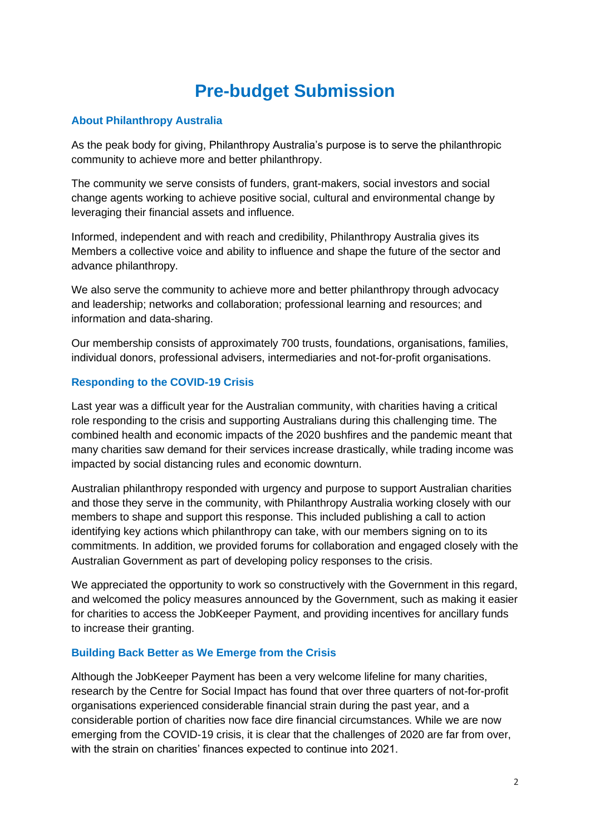# **Pre-budget Submission**

## **About Philanthropy Australia**

As the peak body for giving, Philanthropy Australia's purpose is to serve the philanthropic community to achieve more and better philanthropy.

The community we serve consists of funders, grant-makers, social investors and social change agents working to achieve positive social, cultural and environmental change by leveraging their financial assets and influence.

Informed, independent and with reach and credibility, Philanthropy Australia gives its Members a collective voice and ability to influence and shape the future of the sector and advance philanthropy.

We also serve the community to achieve more and better philanthropy through advocacy and leadership; networks and collaboration; professional learning and resources; and information and data-sharing.

Our membership consists of approximately 700 trusts, foundations, organisations, families, individual donors, professional advisers, intermediaries and not-for-profit organisations.

## **Responding to the COVID-19 Crisis**

Last year was a difficult year for the Australian community, with charities having a critical role responding to the crisis and supporting Australians during this challenging time. The combined health and economic impacts of the 2020 bushfires and the pandemic meant that many charities saw demand for their services increase drastically, while trading income was impacted by social distancing rules and economic downturn.

Australian philanthropy responded with urgency and purpose to support Australian charities and those they serve in the community, with Philanthropy Australia working closely with our members to shape and support this response. This included publishing a call to action identifying key actions which philanthropy can take, with our members signing on to its commitments. In addition, we provided forums for collaboration and engaged closely with the Australian Government as part of developing policy responses to the crisis.

We appreciated the opportunity to work so constructively with the Government in this regard, and welcomed the policy measures announced by the Government, such as making it easier for charities to access the JobKeeper Payment, and providing incentives for ancillary funds to increase their granting.

## **Building Back Better as We Emerge from the Crisis**

Although the JobKeeper Payment has been a very welcome lifeline for many charities, research by the Centre for Social Impact has found that over three quarters of not-for-profit organisations experienced considerable financial strain during the past year, and a considerable portion of charities now face dire financial circumstances. While we are now emerging from the COVID-19 crisis, it is clear that the challenges of 2020 are far from over, with the strain on charities' finances expected to continue into 2021.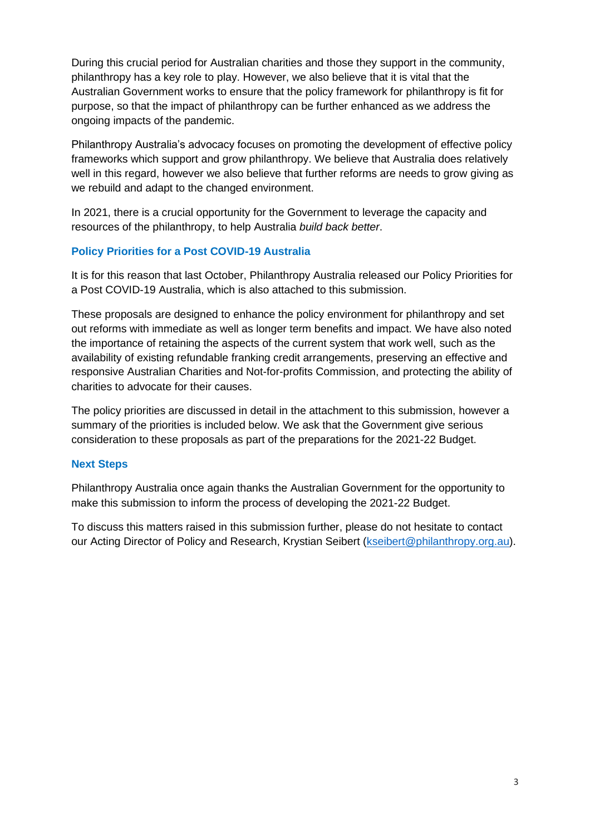During this crucial period for Australian charities and those they support in the community, philanthropy has a key role to play. However, we also believe that it is vital that the Australian Government works to ensure that the policy framework for philanthropy is fit for purpose, so that the impact of philanthropy can be further enhanced as we address the ongoing impacts of the pandemic.

Philanthropy Australia's advocacy focuses on promoting the development of effective policy frameworks which support and grow philanthropy. We believe that Australia does relatively well in this regard, however we also believe that further reforms are needs to grow giving as we rebuild and adapt to the changed environment.

In 2021, there is a crucial opportunity for the Government to leverage the capacity and resources of the philanthropy, to help Australia *build back better*.

## **Policy Priorities for a Post COVID-19 Australia**

It is for this reason that last October, Philanthropy Australia released our Policy Priorities for a Post COVID-19 Australia, which is also attached to this submission.

These proposals are designed to enhance the policy environment for philanthropy and set out reforms with immediate as well as longer term benefits and impact. We have also noted the importance of retaining the aspects of the current system that work well, such as the availability of existing refundable franking credit arrangements, preserving an effective and responsive Australian Charities and Not-for-profits Commission, and protecting the ability of charities to advocate for their causes.

The policy priorities are discussed in detail in the attachment to this submission, however a summary of the priorities is included below. We ask that the Government give serious consideration to these proposals as part of the preparations for the 2021-22 Budget.

## **Next Steps**

Philanthropy Australia once again thanks the Australian Government for the opportunity to make this submission to inform the process of developing the 2021-22 Budget.

To discuss this matters raised in this submission further, please do not hesitate to contact our Acting Director of Policy and Research, Krystian Seibert [\(kseibert@philanthropy.org.au\)](mailto:kseibert@philanthropy.org.au).